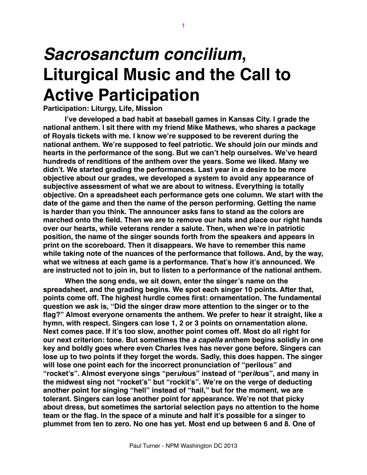## *Sacrosanctum concilium***, Liturgical Music and the Call to Active Participation**

## **Participation: Liturgy, Life, Mission**

**I've developed a bad habit at baseball games in Kansas City. I grade the national anthem. I sit there with my friend Mike Mathews, who shares a package of Royals tickets with me. I know we're supposed to be reverent during the national anthem. We're supposed to feel patriotic. We should join our minds and hearts in the performance of the song. But we can't help ourselves. We've heard hundreds of renditions of the anthem over the years. Some we liked. Many we didn't. We started grading the performances. Last year in a desire to be more objective about our grades, we developed a system to avoid any appearance of subjective assessment of what we are about to witness. Everything is totally objective. On a spreadsheet each performance gets one column. We start with the date of the game and then the name of the person performing. Getting the name is harder than you think. The announcer asks fans to stand as the colors are marched onto the field. Then we are to remove our hats and place our right hands over our hearts, while veterans render a salute. Then, when we're in patriotic position, the name of the singer sounds forth from the speakers and appears in print on the scoreboard. Then it disappears. We have to remember this name while taking note of the nuances of the performance that follows. And, by the way, what we witness at each game is a performance. That's how it's announced. We are instructed not to join in, but to listen to a performance of the national anthem.**

**When the song ends, we sit down, enter the singer's name on the spreadsheet, and the grading begins. We spot each singer 10 points. After that, points come off. The highest hurdle comes first: ornamentation. The fundamental question we ask is, "Did the singer draw more attention to the singer or to the flag?" Almost everyone ornaments the anthem. We prefer to hear it straight, like a hymn, with respect. Singers can lose 1, 2 or 3 points on ornamentation alone. Next comes pace. If it's too slow, another point comes off. Most do all right for our next criterion: tone. But sometimes the** *a capella* **anthem begins solidly in one key and boldly goes where even Charles Ives has never gone before. Singers can lose up to two points if they forget the words. Sadly, this does happen. The singer will lose one point each for the incorrect pronunciation of "perilous" and "rocket's". Almost everyone sings "per***ul***ous" instead of "per***il***ous", and many in the midwest sing not "rocket's" but "rockit's". We're on the verge of deducting another point for singing "hell" instead of "hail," but for the moment, we are tolerant. Singers can lose another point for appearance. We're not that picky about dress, but sometimes the sartorial selection pays no attention to the home team or the flag. In the space of a minute and half it's possible for a singer to plummet from ten to zero. No one has yet. Most end up between 6 and 8. One of**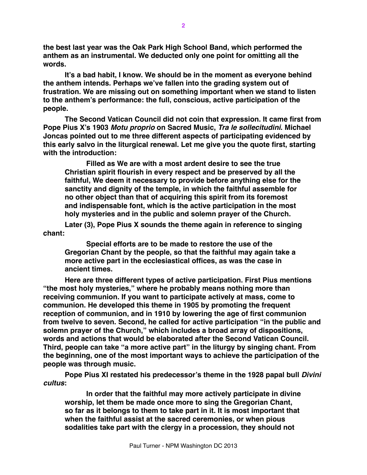**the best last year was the Oak Park High School Band, which performed the anthem as an instrumental. We deducted only one point for omitting all the words.**

**It's a bad habit, I know. We should be in the moment as everyone behind the anthem intends. Perhaps we've fallen into the grading system out of frustration. We are missing out on something important when we stand to listen to the anthem's performance: the full, conscious, active participation of the people.**

**The Second Vatican Council did not coin that expression. It came first from Pope Pius X's 1903** *Motu proprio* **on Sacred Music,** *Tra le sollecitudini***. Michael Joncas pointed out to me three different aspects of participating evidenced by this early salvo in the liturgical renewal. Let me give you the quote first, starting with the introduction:**

**Filled as We are with a most ardent desire to see the true Christian spirit flourish in every respect and be preserved by all the faithful, We deem it necessary to provide before anything else for the sanctity and dignity of the temple, in which the faithful assemble for no other object than that of acquiring this spirit from its foremost and indispensable font, which is the active participation in the most holy mysteries and in the public and solemn prayer of the Church.**

**Later (3), Pope Pius X sounds the theme again in reference to singing chant:**

**Special efforts are to be made to restore the use of the Gregorian Chant by the people, so that the faithful may again take a more active part in the ecclesiastical offices, as was the case in ancient times.**

**Here are three different types of active participation. First Pius mentions "the most holy mysteries," where he probably means nothing more than receiving communion. If you want to participate actively at mass, come to communion. He developed this theme in 1905 by promoting the frequent reception of communion, and in 1910 by lowering the age of first communion from twelve to seven. Second, he called for active participation "in the public and solemn prayer of the Church," which includes a broad array of dispositions, words and actions that would be elaborated after the Second Vatican Council. Third, people can take "a more active part" in the liturgy by singing chant. From the beginning, one of the most important ways to achieve the participation of the people was through music.**

**Pope Pius XI restated his predecessor's theme in the 1928 papal bull** *Divini cultus***:**

**In order that the faithful may more actively participate in divine worship, let them be made once more to sing the Gregorian Chant, so far as it belongs to them to take part in it. It is most important that when the faithful assist at the sacred ceremonies, or when pious sodalities take part with the clergy in a procession, they should not**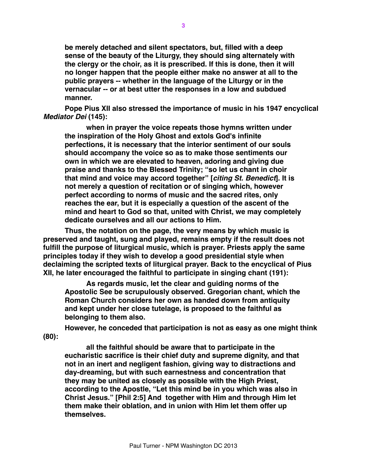**be merely detached and silent spectators, but, filled with a deep sense of the beauty of the Liturgy, they should sing alternately with the clergy or the choir, as it is prescribed. If this is done, then it will no longer happen that the people either make no answer at all to the public prayers -- whether in the language of the Liturgy or in the vernacular -- or at best utter the responses in a low and subdued manner.** 

**Pope Pius XII also stressed the importance of music in his 1947 encyclical**  *Mediator Dei* **(145):**

**when in prayer the voice repeats those hymns written under the inspiration of the Holy Ghost and extols God's infinite perfections, it is necessary that the interior sentiment of our souls should accompany the voice so as to make those sentiments our own in which we are elevated to heaven, adoring and giving due praise and thanks to the Blessed Trinity; "so let us chant in choir that mind and voice may accord together" [***citing St. Benedict***]. It is not merely a question of recitation or of singing which, however perfect according to norms of music and the sacred rites, only reaches the ear, but it is especially a question of the ascent of the mind and heart to God so that, united with Christ, we may completely dedicate ourselves and all our actions to Him.**

**Thus, the notation on the page, the very means by which music is preserved and taught, sung and played, remains empty if the result does not fulfill the purpose of liturgical music, which is prayer. Priests apply the same principles today if they wish to develop a good presidential style when declaiming the scripted texts of liturgical prayer. Back to the encyclical of Pius XII, he later encouraged the faithful to participate in singing chant (191):**

**As regards music, let the clear and guiding norms of the Apostolic See be scrupulously observed. Gregorian chant, which the Roman Church considers her own as handed down from antiquity and kept under her close tutelage, is proposed to the faithful as belonging to them also.** 

**However, he conceded that participation is not as easy as one might think (80):**

**all the faithful should be aware that to participate in the eucharistic sacrifice is their chief duty and supreme dignity, and that not in an inert and negligent fashion, giving way to distractions and day-dreaming, but with such earnestness and concentration that they may be united as closely as possible with the High Priest, according to the Apostle, "Let this mind be in you which was also in Christ Jesus." [Phil 2:5] And together with Him and through Him let them make their oblation, and in union with Him let them offer up themselves.**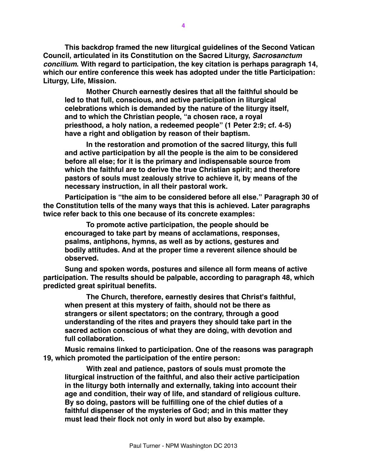**This backdrop framed the new liturgical guidelines of the Second Vatican Council, articulated in its Constitution on the Sacred Liturgy,** *Sacrosanctum concilium***. With regard to participation, the key citation is perhaps paragraph 14, which our entire conference this week has adopted under the title Participation: Liturgy, Life, Mission.**

**Mother Church earnestly desires that all the faithful should be led to that full, conscious, and active participation in liturgical celebrations which is demanded by the nature of the liturgy itself, and to which the Christian people, "a chosen race, a royal priesthood, a holy nation, a redeemed people" (1 Peter 2:9; cf. 4-5) have a right and obligation by reason of their baptism.**

**In the restoration and promotion of the sacred liturgy, this full and active participation by all the people is the aim to be considered before all else; for it is the primary and indispensable source from which the faithful are to derive the true Christian spirit; and therefore pastors of souls must zealously strive to achieve it, by means of the necessary instruction, in all their pastoral work.**

**Participation is "the aim to be considered before all else." Paragraph 30 of the Constitution tells of the many ways that this is achieved. Later paragraphs twice refer back to this one because of its concrete examples:**

**To promote active participation, the people should be encouraged to take part by means of acclamations, responses, psalms, antiphons, hymns, as well as by actions, gestures and bodily attitudes. And at the proper time a reverent silence should be observed.**

**Sung and spoken words, postures and silence all form means of active participation. The results should be palpable, according to paragraph 48, which predicted great spiritual benefits.**

**The Church, therefore, earnestly desires that Christ's faithful, when present at this mystery of faith, should not be there as strangers or silent spectators; on the contrary, through a good understanding of the rites and prayers they should take part in the sacred action conscious of what they are doing, with devotion and full collaboration.**

**Music remains linked to participation. One of the reasons was paragraph 19, which promoted the participation of the entire person:**

**With zeal and patience, pastors of souls must promote the liturgical instruction of the faithful, and also their active participation in the liturgy both internally and externally, taking into account their age and condition, their way of life, and standard of religious culture. By so doing, pastors will be fulfilling one of the chief duties of a faithful dispenser of the mysteries of God; and in this matter they must lead their flock not only in word but also by example.**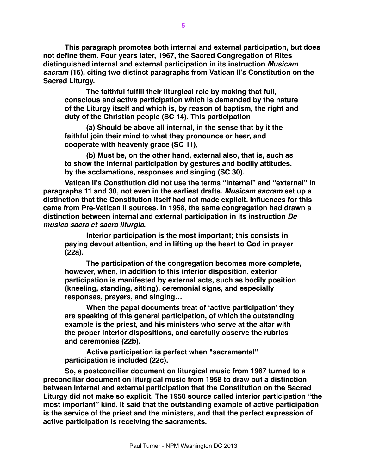**This paragraph promotes both internal and external participation, but does not define them. Four years later, 1967, the Sacred Congregation of Rites distinguished internal and external participation in its instruction** *Musicam sacram* **(15), citing two distinct paragraphs from Vatican II's Constitution on the Sacred Liturgy.**

**The faithful fulfill their liturgical role by making that full, conscious and active participation which is demanded by the nature of the Liturgy itself and which is, by reason of baptism, the right and duty of the Christian people (SC 14). This participation**

**(a) Should be above all internal, in the sense that by it the faithful join their mind to what they pronounce or hear, and cooperate with heavenly grace (SC 11),**

**(b) Must be, on the other hand, external also, that is, such as to show the internal participation by gestures and bodily attitudes, by the acclamations, responses and singing (SC 30).**

**Vatican II's Constitution did not use the terms "internal" and "external" in paragraphs 11 and 30, not even in the earliest drafts.** *Musicam sacram* **set up a distinction that the Constitution itself had not made explicit. Influences for this came from Pre-Vatican II sources. In 1958, the same congregation had drawn a distinction between internal and external participation in its instruction** *De musica sacra et sacra liturgia***.**

**Interior participation is the most important; this consists in paying devout attention, and in lifting up the heart to God in prayer (22a).**

**The participation of the congregation becomes more complete, however, when, in addition to this interior disposition, exterior participation is manifested by external acts, such as bodily position (kneeling, standing, sitting), ceremonial signs, and especially responses, prayers, and singing…**

**When the papal documents treat of 'active participation' they are speaking of this general participation, of which the outstanding example is the priest, and his ministers who serve at the altar with the proper interior dispositions, and carefully observe the rubrics and ceremonies (22b).**

**Active participation is perfect when "sacramental" participation is included (22c).**

**So, a postconciliar document on liturgical music from 1967 turned to a preconciliar document on liturgical music from 1958 to draw out a distinction between internal and external participation that the Constitution on the Sacred Liturgy did not make so explicit. The 1958 source called interior participation "the most important" kind. It said that the outstanding example of active participation is the service of the priest and the ministers, and that the perfect expression of active participation is receiving the sacraments.**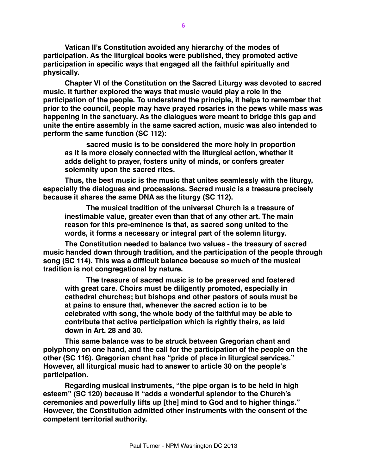**Vatican II's Constitution avoided any hierarchy of the modes of participation. As the liturgical books were published, they promoted active participation in specific ways that engaged all the faithful spiritually and physically.**

**Chapter VI of the Constitution on the Sacred Liturgy was devoted to sacred music. It further explored the ways that music would play a role in the participation of the people. To understand the principle, it helps to remember that prior to the council, people may have prayed rosaries in the pews while mass was happening in the sanctuary. As the dialogues were meant to bridge this gap and unite the entire assembly in the same sacred action, music was also intended to perform the same function (SC 112):**

**sacred music is to be considered the more holy in proportion as it is more closely connected with the liturgical action, whether it adds delight to prayer, fosters unity of minds, or confers greater solemnity upon the sacred rites.**

**Thus, the best music is the music that unites seamlessly with the liturgy, especially the dialogues and processions. Sacred music is a treasure precisely because it shares the same DNA as the liturgy (SC 112).**

**The musical tradition of the universal Church is a treasure of inestimable value, greater even than that of any other art. The main reason for this pre-eminence is that, as sacred song united to the words, it forms a necessary or integral part of the solemn liturgy.**

**The Constitution needed to balance two values - the treasury of sacred music handed down through tradition, and the participation of the people through song (SC 114). This was a difficult balance because so much of the musical tradition is not congregational by nature.**

**The treasure of sacred music is to be preserved and fostered with great care. Choirs must be diligently promoted, especially in cathedral churches; but bishops and other pastors of souls must be at pains to ensure that, whenever the sacred action is to be celebrated with song, the whole body of the faithful may be able to contribute that active participation which is rightly theirs, as laid down in Art. 28 and 30.**

**This same balance was to be struck between Gregorian chant and polyphony on one hand, and the call for the participation of the people on the other (SC 116). Gregorian chant has "pride of place in liturgical services." However, all liturgical music had to answer to article 30 on the people's participation.**

**Regarding musical instruments, "the pipe organ is to be held in high esteem" (SC 120) because it "adds a wonderful splendor to the Church's ceremonies and powerfully lifts up [the] mind to God and to higher things." However, the Constitution admitted other instruments with the consent of the competent territorial authority.**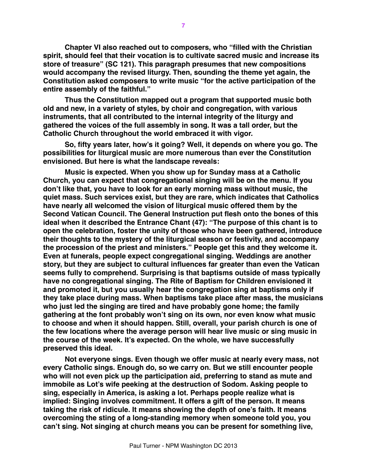**Chapter VI also reached out to composers, who "filled with the Christian spirit, should feel that their vocation is to cultivate sacred music and increase its store of treasure" (SC 121). This paragraph presumes that new compositions would accompany the revised liturgy. Then, sounding the theme yet again, the Constitution asked composers to write music "for the active participation of the entire assembly of the faithful."**

**Thus the Constitution mapped out a program that supported music both old and new, in a variety of styles, by choir and congregation, with various instruments, that all contributed to the internal integrity of the liturgy and gathered the voices of the full assembly in song. It was a tall order, but the Catholic Church throughout the world embraced it with vigor.**

**So, fifty years later, how's it going? Well, it depends on where you go. The possibilities for liturgical music are more numerous than ever the Constitution envisioned. But here is what the landscape reveals:**

**Music is expected. When you show up for Sunday mass at a Catholic Church, you can expect that congregational singing will be on the menu. If you don't like that, you have to look for an early morning mass without music, the quiet mass. Such services exist, but they are rare, which indicates that Catholics have nearly all welcomed the vision of liturgical music offered them by the Second Vatican Council. The General Instruction put flesh onto the bones of this ideal when it described the Entrance Chant (47): "The purpose of this chant is to open the celebration, foster the unity of those who have been gathered, introduce their thoughts to the mystery of the liturgical season or festivity, and accompany the procession of the priest and ministers." People get this and they welcome it. Even at funerals, people expect congregational singing. Weddings are another story, but they are subject to cultural influences far greater than even the Vatican seems fully to comprehend. Surprising is that baptisms outside of mass typically have no congregational singing. The Rite of Baptism for Children envisioned it and promoted it, but you usually hear the congregation sing at baptisms only if they take place during mass. When baptisms take place after mass, the musicians who just led the singing are tired and have probably gone home; the family gathering at the font probably won't sing on its own, nor even know what music to choose and when it should happen. Still, overall, your parish church is one of the few locations where the average person will hear live music or sing music in the course of the week. It's expected. On the whole, we have successfully preserved this ideal.**

**Not everyone sings. Even though we offer music at nearly every mass, not every Catholic sings. Enough do, so we carry on. But we still encounter people who will not even pick up the participation aid, preferring to stand as mute and immobile as Lot's wife peeking at the destruction of Sodom. Asking people to sing, especially in America, is asking a lot. Perhaps people realize what is implied: Singing involves commitment. It offers a gift of the person. It means taking the risk of ridicule. It means showing the depth of one's faith. It means overcoming the sting of a long-standing memory when someone told you, you can't sing. Not singing at church means you can be present for something live,**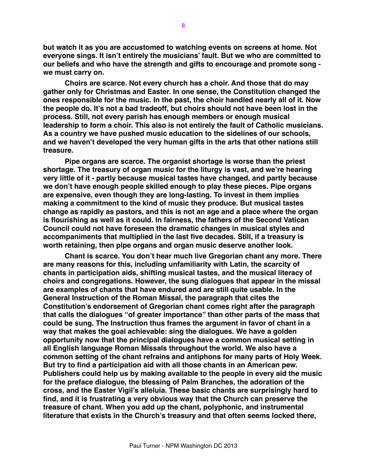**but watch it as you are accustomed to watching events on screens at home. Not everyone sings. It isn't entirely the musicians' fault. But we who are committed to our beliefs and who have the strength and gifts to encourage and promote song we must carry on.**

**Choirs are scarce. Not every church has a choir. And those that do may gather only for Christmas and Easter. In one sense, the Constitution changed the ones responsible for the music. In the past, the choir handled nearly all of it. Now the people do. It's not a bad tradeoff, but choirs should not have been lost in the process. Still, not every parish has enough members or enough musical leadership to form a choir. This also is not entirely the fault of Catholic musicians. As a country we have pushed music education to the sidelines of our schools, and we haven't developed the very human gifts in the arts that other nations still treasure.**

**Pipe organs are scarce. The organist shortage is worse than the priest shortage. The treasury of organ music for the liturgy is vast, and we're hearing very little of it - partly because musical tastes have changed, and partly because we don't have enough people skilled enough to play these pieces. Pipe organs are expensive, even though they are long-lasting. To invest in them implies making a commitment to the kind of music they produce. But musical tastes change as rapidly as pastors, and this is not an age and a place where the organ is flourishing as well as it could. In fairness, the fathers of the Second Vatican Council could not have foreseen the dramatic changes in musical styles and accompaniments that multiplied in the last five decades. Still, if a treasury is worth retaining, then pipe organs and organ music deserve another look.**

**Chant is scarce. You don't hear much live Gregorian chant any more. There are many reasons for this, including unfamiliarity with Latin, the scarcity of chants in participation aids, shifting musical tastes, and the musical literacy of choirs and congregations. However, the sung dialogues that appear in the missal are examples of chants that have endured and are still quite usable. In the General Instruction of the Roman Missal, the paragraph that cites the Constitution's endorsement of Gregorian chant comes right after the paragraph that calls the dialogues "of greater importance" than other parts of the mass that could be sung. The Instruction thus frames the argument in favor of chant in a way that makes the goal achievable: sing the dialogues. We have a golden opportunity now that the principal dialogues have a common musical setting in all English language Roman Missals throughout the world. We also have a common setting of the chant refrains and antiphons for many parts of Holy Week. But try to find a participation aid with all those chants in an American pew. Publishers could help us by making available to the people in every aid the music for the preface dialogue, the blessing of Palm Branches, the adoration of the cross, and the Easter Vigil's alleluia. These basic chants are surprisingly hard to find, and it is frustrating a very obvious way that the Church can preserve the treasure of chant. When you add up the chant, polyphonic, and instrumental literature that exists in the Church's treasury and that often seems locked there,**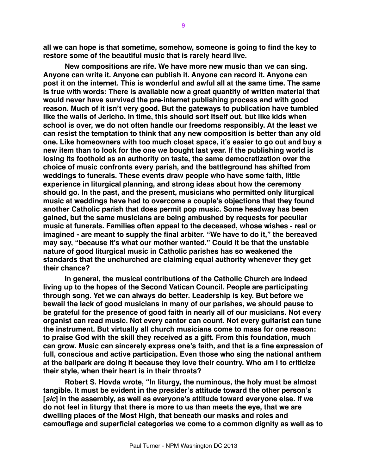**all we can hope is that sometime, somehow, someone is going to find the key to restore some of the beautiful music that is rarely heard live.**

**New compositions are rife. We have more new music than we can sing. Anyone can write it. Anyone can publish it. Anyone can record it. Anyone can post it on the internet. This is wonderful and awful all at the same time. The same is true with words: There is available now a great quantity of written material that would never have survived the pre-internet publishing process and with good reason. Much of it isn't very good. But the gateways to publication have tumbled like the walls of Jericho. In time, this should sort itself out, but like kids when school is over, we do not often handle our freedoms responsibly. At the least we can resist the temptation to think that any new composition is better than any old one. Like homeowners with too much closet space, it's easier to go out and buy a new item than to look for the one we bought last year. If the publishing world is losing its foothold as an authority on taste, the same democratization over the choice of music confronts every parish, and the battleground has shifted from weddings to funerals. These events draw people who have some faith, little experience in liturgical planning, and strong ideas about how the ceremony should go. In the past, and the present, musicians who permitted only liturgical music at weddings have had to overcome a couple's objections that they found another Catholic parish that does permit pop music. Some headway has been gained, but the same musicians are being ambushed by requests for peculiar music at funerals. Families often appeal to the deceased, whose wishes - real or imagined - are meant to supply the final arbiter. "We have to do it," the bereaved may say, "because it's what our mother wanted." Could it be that the unstable nature of good liturgical music in Catholic parishes has so weakened the standards that the unchurched are claiming equal authority whenever they get their chance?**

**In general, the musical contributions of the Catholic Church are indeed living up to the hopes of the Second Vatican Council. People are participating through song. Yet we can always do better. Leadership is key. But before we bewail the lack of good musicians in many of our parishes, we should pause to be grateful for the presence of good faith in nearly all of our musicians. Not every organist can read music. Not every cantor can count. Not every guitarist can tune the instrument. But virtually all church musicians come to mass for one reason: to praise God with the skill they received as a gift. From this foundation, much can grow. Music can sincerely express one's faith, and that is a fine expression of full, conscious and active participation. Even those who sing the national anthem at the ballpark are doing it because they love their country. Who am I to criticize their style, when their heart is in their throats?**

**Robert S. Hovda wrote, "In liturgy, the numinous, the holy must be almost tangible. It must be evident in the presider's attitude toward the other person's [***sic***] in the assembly, as well as everyone's attitude toward everyone else. If we do not feel in liturgy that there is more to us than meets the eye, that we are dwelling places of the Most High, that beneath our masks and roles and camouflage and superficial categories we come to a common dignity as well as to**